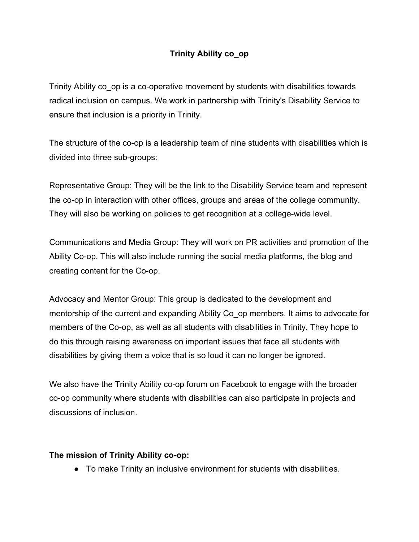# **Trinity Ability co\_op**

Trinity Ability co op is a co-operative movement by students with disabilities towards radical inclusion on campus. We work in partnership with Trinity's Disability Service to ensure that inclusion is a priority in Trinity.

The structure of the co-op is a leadership team of nine students with disabilities which is divided into three sub-groups:

Representative Group: They will be the link to the Disability Service team and represent the co-op in interaction with other offices, groups and areas of the college community. They will also be working on policies to get recognition at a college-wide level.

Communications and Media Group: They will work on PR activities and promotion of the Ability Co-op. This will also include running the social media platforms, the blog and creating content for the Co-op.

Advocacy and Mentor Group: This group is dedicated to the development and mentorship of the current and expanding Ability Co op members. It aims to advocate for members of the Co-op, as well as all students with disabilities in Trinity. They hope to do this through raising awareness on important issues that face all students with disabilities by giving them a voice that is so loud it can no longer be ignored.

We also have the Trinity Ability co-op forum on Facebook to engage with the broader co-op community where students with disabilities can also participate in projects and discussions of inclusion.

## **The mission of Trinity Ability co-op:**

● To make Trinity an inclusive environment for students with disabilities.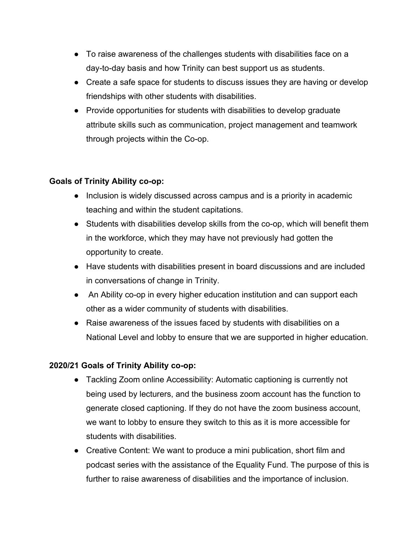- To raise awareness of the challenges students with disabilities face on a day-to-day basis and how Trinity can best support us as students.
- Create a safe space for students to discuss issues they are having or develop friendships with other students with disabilities.
- Provide opportunities for students with disabilities to develop graduate attribute skills such as communication, project management and teamwork through projects within the Co-op.

## **Goals of Trinity Ability co-op:**

- Inclusion is widely discussed across campus and is a priority in academic teaching and within the student capitations.
- Students with disabilities develop skills from the co-op, which will benefit them in the workforce, which they may have not previously had gotten the opportunity to create.
- Have students with disabilities present in board discussions and are included in conversations of change in Trinity.
- An Ability co-op in every higher education institution and can support each other as a wider community of students with disabilities.
- Raise awareness of the issues faced by students with disabilities on a National Level and lobby to ensure that we are supported in higher education.

# **2020/21 Goals of Trinity Ability co-op:**

- Tackling Zoom online Accessibility: Automatic captioning is currently not being used by lecturers, and the business zoom account has the function to generate closed captioning. If they do not have the zoom business account, we want to lobby to ensure they switch to this as it is more accessible for students with disabilities.
- Creative Content: We want to produce a mini publication, short film and podcast series with the assistance of the Equality Fund. The purpose of this is further to raise awareness of disabilities and the importance of inclusion.